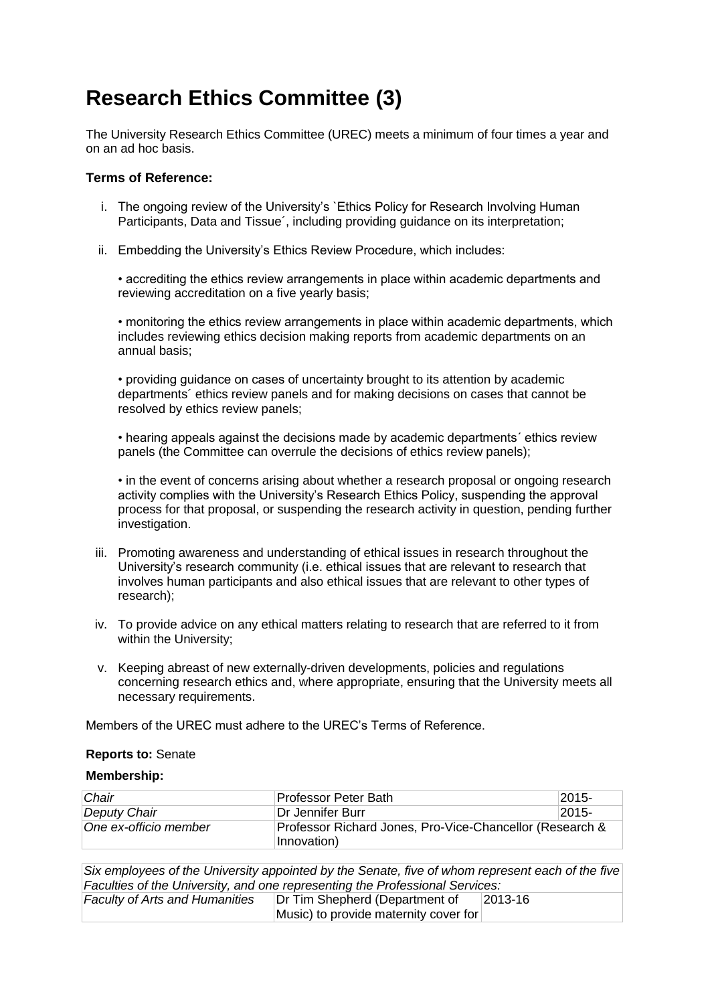## **Research Ethics Committee (3)**

The University Research Ethics Committee (UREC) meets a minimum of four times a year and on an ad hoc basis.

## **Terms of Reference:**

- i. The ongoing review of the University's `Ethics Policy for Research Involving Human Participants, Data and Tissue´, including providing guidance on its interpretation;
- ii. Embedding the University's Ethics Review Procedure, which includes:

• accrediting the ethics review arrangements in place within academic departments and reviewing accreditation on a five yearly basis;

• monitoring the ethics review arrangements in place within academic departments, which includes reviewing ethics decision making reports from academic departments on an annual basis;

• providing guidance on cases of uncertainty brought to its attention by academic departments´ ethics review panels and for making decisions on cases that cannot be resolved by ethics review panels;

• hearing appeals against the decisions made by academic departments´ ethics review panels (the Committee can overrule the decisions of ethics review panels);

• in the event of concerns arising about whether a research proposal or ongoing research activity complies with the University's Research Ethics Policy, suspending the approval process for that proposal, or suspending the research activity in question, pending further investigation.

- iii. Promoting awareness and understanding of ethical issues in research throughout the University's research community (i.e. ethical issues that are relevant to research that involves human participants and also ethical issues that are relevant to other types of research);
- iv. To provide advice on any ethical matters relating to research that are referred to it from within the University;
- v. Keeping abreast of new externally-driven developments, policies and regulations concerning research ethics and, where appropriate, ensuring that the University meets all necessary requirements.

Members of the UREC must adhere to the UREC's Terms of Reference.

## **Reports to:** Senate

## **Membership:**

| Chair                 | Professor Peter Bath                                                    | $2015 -$ |
|-----------------------|-------------------------------------------------------------------------|----------|
| Deputy Chair          | Dr Jennifer Burr                                                        | $2015 -$ |
| One ex-officio member | Professor Richard Jones, Pro-Vice-Chancellor (Research &<br>Innovation) |          |

*Six employees of the University appointed by the Senate, five of whom represent each of the five Faculties of the University, and one representing the Professional Services:*

*Faculty of Arts and Humanities* Dr Tim Shepherd (Department of Music) to provide maternity cover for 2013-16